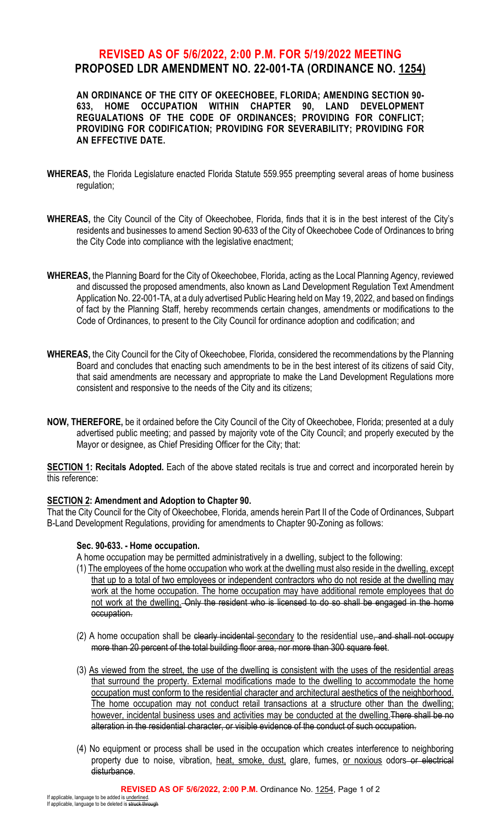## **REVISED AS OF 5/6/2022, 2:00 P.M. FOR 5/19/2022 MEETING PROPOSED LDR AMENDMENT NO. 22-001-TA (ORDINANCE NO. 1254)**

AN ORDINANCE OF THE CITY OF OKEECHOBEE, FLORIDA; AMENDING SECTION 90-<br>633. HOME OCCUPATION WITHIN CHAPTER 90, LAND DEVELOPMENT **633, HOME OCCUPATION WITHIN CHAPTER 90, LAND DEVELOPMENT REGUALATIONS OF THE CODE OF ORDINANCES; PROVIDING FOR CONFLICT; PROVIDING FOR CODIFICATION; PROVIDING FOR SEVERABILITY; PROVIDING FOR AN EFFECTIVE DATE.**

- **WHEREAS,** the Florida Legislature enacted Florida Statute 559.955 preempting several areas of home business regulation;
- **WHEREAS,** the City Council of the City of Okeechobee, Florida, finds that it is in the best interest of the City's residents and businesses to amend Section 90-633 of the City of Okeechobee Code of Ordinances to bring the City Code into compliance with the legislative enactment;
- **WHEREAS,** the Planning Board for the City of Okeechobee, Florida, acting as the Local Planning Agency, reviewed and discussed the proposed amendments, also known as Land Development Regulation Text Amendment Application No. 22-001-TA, at a duly advertised Public Hearing held on May 19, 2022, and based on findings of fact by the Planning Staff, hereby recommends certain changes, amendments or modifications to the Code of Ordinances, to present to the City Council for ordinance adoption and codification; and
- **WHEREAS,** the City Council for the City of Okeechobee, Florida, considered the recommendations by the Planning Board and concludes that enacting such amendments to be in the best interest of its citizens of said City, that said amendments are necessary and appropriate to make the Land Development Regulations more consistent and responsive to the needs of the City and its citizens;
- **NOW, THEREFORE,** be it ordained before the City Council of the City of Okeechobee, Florida; presented at a duly advertised public meeting; and passed by majority vote of the City Council; and properly executed by the Mayor or designee, as Chief Presiding Officer for the City; that:

**SECTION 1: Recitals Adopted.** Each of the above stated recitals is true and correct and incorporated herein by this reference:

## **SECTION 2: Amendment and Adoption to Chapter 90.**

That the City Council for the City of Okeechobee, Florida, amends herein Part II of the Code of Ordinances, Subpart B-Land Development Regulations, providing for amendments to Chapter 90-Zoning as follows:

## **Sec. 90-633. - Home occupation.**

A home occupation may be permitted administratively in a dwelling, subject to the following:

- (1) The employees of the home occupation who work at the dwelling must also reside in the dwelling, except that up to a total of two employees or independent contractors who do not reside at the dwelling may work at the home occupation. The home occupation may have additional remote employees that do not work at the dwelling. Only the resident who is licensed to do so shall be engaged in the home occupation.
- (2) A home occupation shall be clearly incidental secondary to the residential use, and shall not occupy more than 20 percent of the total building floor area, nor more than 300 square feet.
- (3) As viewed from the street, the use of the dwelling is consistent with the uses of the residential areas that surround the property. External modifications made to the dwelling to accommodate the home occupation must conform to the residential character and architectural aesthetics of the neighborhood. The home occupation may not conduct retail transactions at a structure other than the dwelling; however, incidental business uses and activities may be conducted at the dwelling. There shall be no alteration in the residential character, or visible evidence of the conduct of such occupation.
- (4) No equipment or process shall be used in the occupation which creates interference to neighboring property due to noise, vibration, heat, smoke, dust, glare, fumes, or noxious odors or electrical disturbance.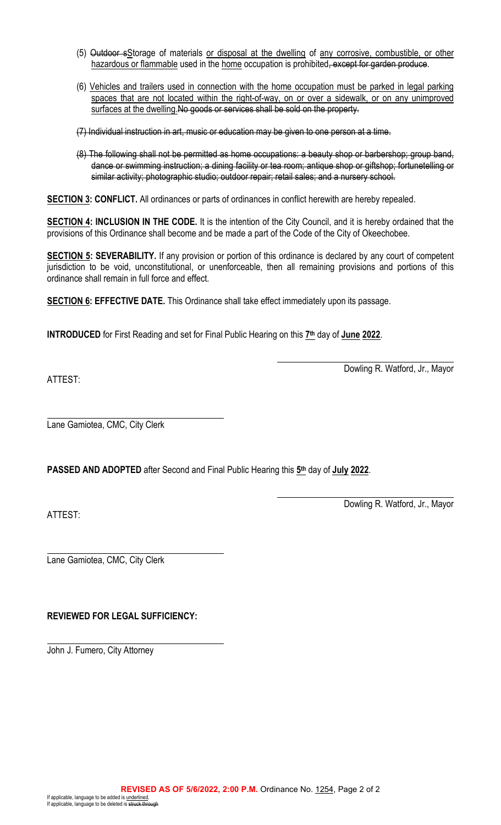- (5) Outdoor sStorage of materials or disposal at the dwelling of any corrosive, combustible, or other hazardous or flammable used in the home occupation is prohibited, except for garden produce.
- (6) Vehicles and trailers used in connection with the home occupation must be parked in legal parking spaces that are not located within the right-of-way, on or over a sidewalk, or on any unimproved surfaces at the dwelling. No goods or services shall be sold on the property.
- (7) Individual instruction in art, music or education may be given to one person at a time.
- (8) The following shall not be permitted as home occupations: a beauty shop or barbershop; group band, dance or swimming instruction; a dining facility or tea room; antique shop or giftshop; fortunetelling or similar activity; photographic studio; outdoor repair; retail sales; and a nursery school.

**SECTION 3: CONFLICT.** All ordinances or parts of ordinances in conflict herewith are hereby repealed.

**SECTION 4: INCLUSION IN THE CODE.** It is the intention of the City Council, and it is hereby ordained that the provisions of this Ordinance shall become and be made a part of the Code of the City of Okeechobee.

**SECTION 5: SEVERABILITY.** If any provision or portion of this ordinance is declared by any court of competent jurisdiction to be void, unconstitutional, or unenforceable, then all remaining provisions and portions of this ordinance shall remain in full force and effect.

**SECTION 6: EFFECTIVE DATE.** This Ordinance shall take effect immediately upon its passage.

**INTRODUCED** for First Reading and set for Final Public Hearing on this **7th** day of **June 2022**.

ATTEST:

Dowling R. Watford, Jr., Mayor

Lane Gamiotea, CMC, City Clerk

**PASSED AND ADOPTED** after Second and Final Public Hearing this **5th** day of **July 2022**.

ATTEST:

Dowling R. Watford, Jr., Mayor

Lane Gamiotea, CMC, City Clerk

## **REVIEWED FOR LEGAL SUFFICIENCY:**

John J. Fumero, City Attorney